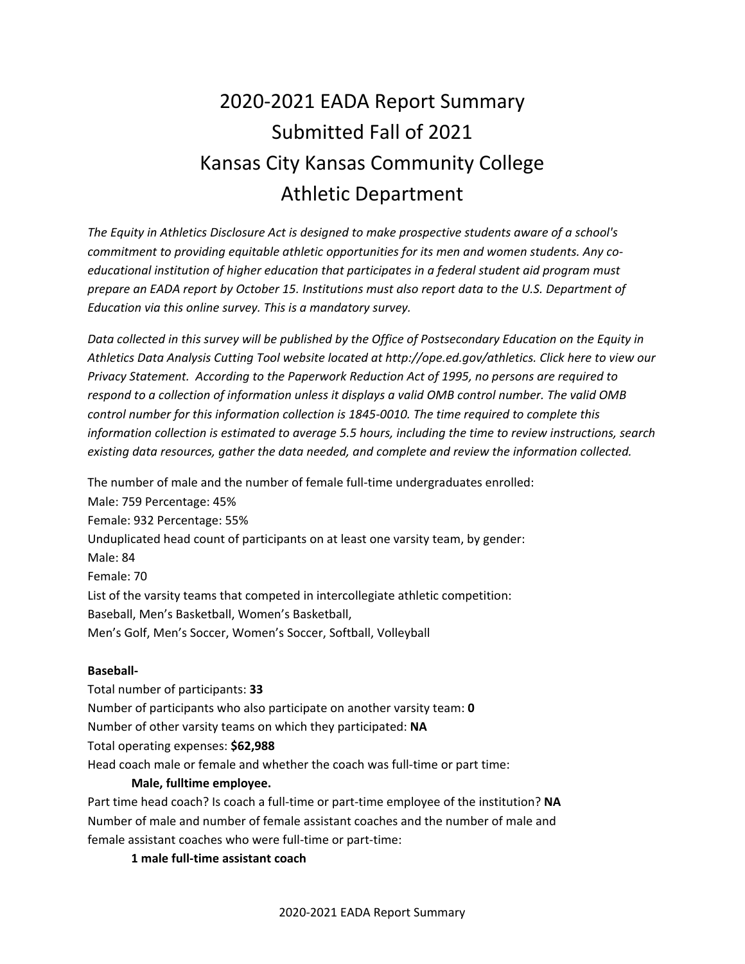# 2020-2021 EADA Report Summary Submitted Fall of 2021 Kansas City Kansas Community College Athletic Department

*The Equity in Athletics Disclosure Act is designed to make prospective students aware of a school's commitment to providing equitable athletic opportunities for its men and women students. Any coeducational institution of higher education that participates in a federal student aid program must prepare an EADA report by October 15. Institutions must also report data to the U.S. Department of Education via this online survey. This is a mandatory survey.*

*Data collected in this survey will be published by the Office of Postsecondary Education on the Equity in Athletics Data Analysis Cutting Tool website located at http://ope.ed.gov/athletics. Click here to view our Privacy Statement. According to the Paperwork Reduction Act of 1995, no persons are required to respond to a collection of information unless it displays a valid OMB control number. The valid OMB control number for this information collection is 1845-0010. The time required to complete this information collection is estimated to average 5.5 hours, including the time to review instructions, search existing data resources, gather the data needed, and complete and review the information collected.*

The number of male and the number of female full-time undergraduates enrolled: Male: 759 Percentage: 45% Female: 932 Percentage: 55% Unduplicated head count of participants on at least one varsity team, by gender: Male: 84 Female: 70 List of the varsity teams that competed in intercollegiate athletic competition: Baseball, Men's Basketball, Women's Basketball, Men's Golf, Men's Soccer, Women's Soccer, Softball, Volleyball

#### **Baseball-**

Total number of participants: **33** Number of participants who also participate on another varsity team: **0** Number of other varsity teams on which they participated: **NA** Total operating expenses: **\$62,988** Head coach male or female and whether the coach was full-time or part time:

#### **Male, fulltime employee.**

Part time head coach? Is coach a full-time or part-time employee of the institution? **NA** Number of male and number of female assistant coaches and the number of male and female assistant coaches who were full-time or part-time:

**1 male full-time assistant coach**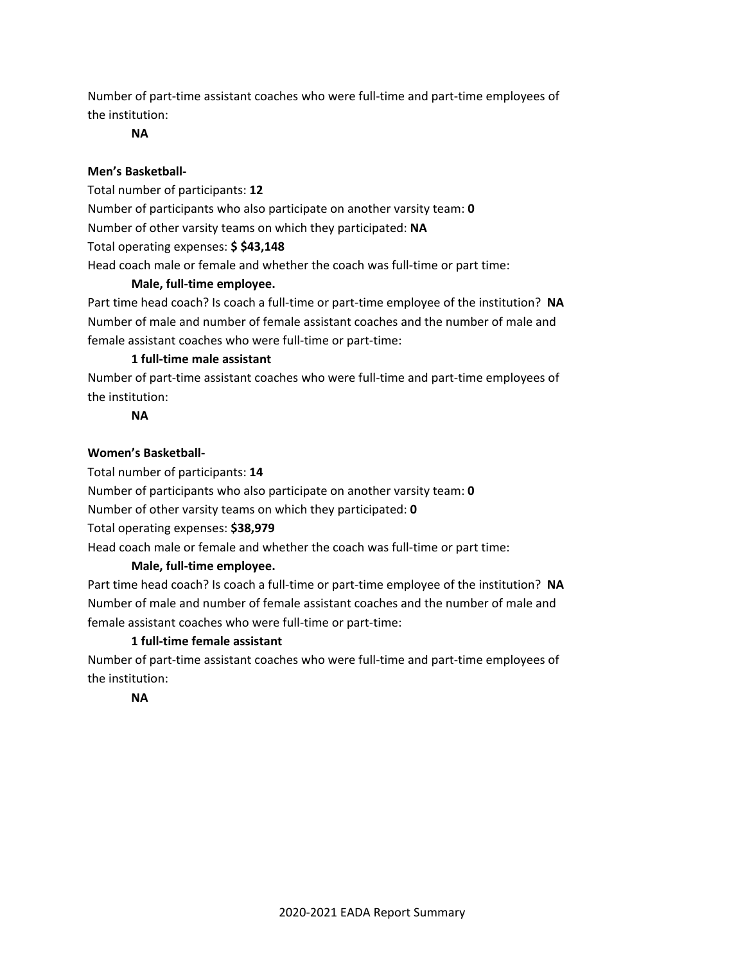Number of part-time assistant coaches who were full-time and part-time employees of the institution:

**NA**

## **Men's Basketball-**

Total number of participants: **12**

Number of participants who also participate on another varsity team: **0**

Number of other varsity teams on which they participated: **NA**

Total operating expenses: **\$ \$43,148**

Head coach male or female and whether the coach was full-time or part time:

## **Male, full-time employee.**

Part time head coach? Is coach a full-time or part-time employee of the institution? **NA** Number of male and number of female assistant coaches and the number of male and female assistant coaches who were full-time or part-time:

## **1 full-time male assistant**

Number of part-time assistant coaches who were full-time and part-time employees of the institution:

# **NA**

# **Women's Basketball-**

Total number of participants: **14**

Number of participants who also participate on another varsity team: **0**

Number of other varsity teams on which they participated: **0**

Total operating expenses: **\$38,979**

Head coach male or female and whether the coach was full-time or part time:

# **Male, full-time employee.**

Part time head coach? Is coach a full-time or part-time employee of the institution? **NA** Number of male and number of female assistant coaches and the number of male and female assistant coaches who were full-time or part-time:

# **1 full-time female assistant**

Number of part-time assistant coaches who were full-time and part-time employees of the institution:

#### **NA**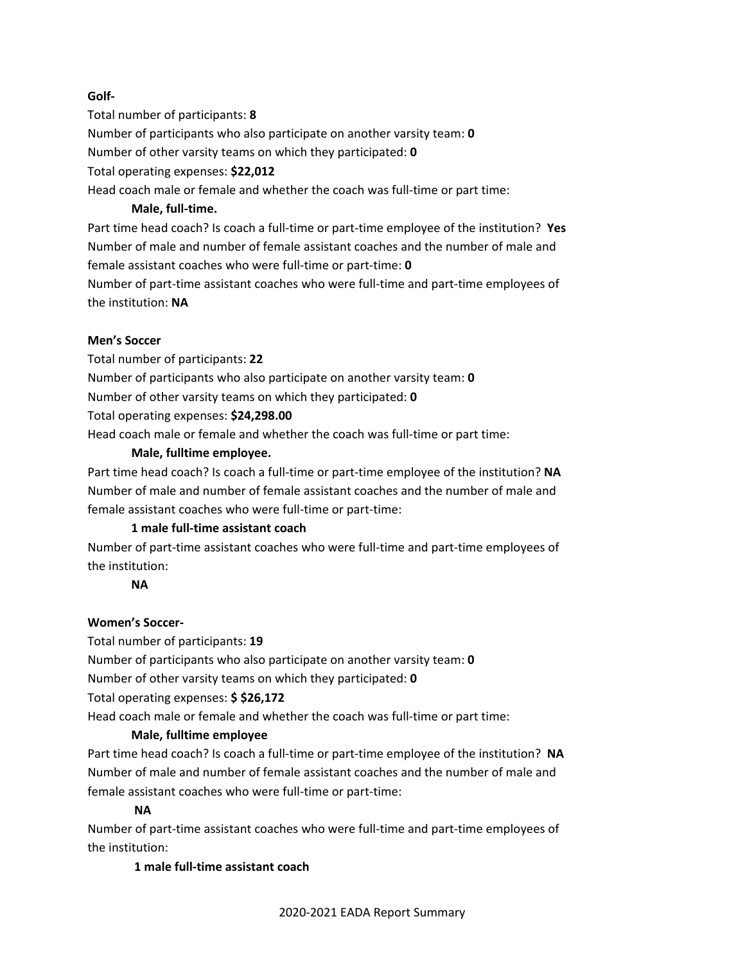## **Golf-**

Total number of participants: **8**

Number of participants who also participate on another varsity team: **0**

Number of other varsity teams on which they participated: **0**

Total operating expenses: **\$22,012**

Head coach male or female and whether the coach was full-time or part time:

## **Male, full-time.**

Part time head coach? Is coach a full-time or part-time employee of the institution? **Yes** Number of male and number of female assistant coaches and the number of male and female assistant coaches who were full-time or part-time: **0**

Number of part-time assistant coaches who were full-time and part-time employees of the institution: **NA**

## **Men's Soccer**

Total number of participants: **22**

Number of participants who also participate on another varsity team: **0**

Number of other varsity teams on which they participated: **0**

Total operating expenses: **\$24,298.00**

Head coach male or female and whether the coach was full-time or part time:

## **Male, fulltime employee.**

Part time head coach? Is coach a full-time or part-time employee of the institution? **NA** Number of male and number of female assistant coaches and the number of male and female assistant coaches who were full-time or part-time:

# **1 male full-time assistant coach**

Number of part-time assistant coaches who were full-time and part-time employees of the institution:

#### **NA**

# **Women's Soccer-**

Total number of participants: **19**

Number of participants who also participate on another varsity team: **0**

Number of other varsity teams on which they participated: **0**

Total operating expenses: **\$ \$26,172**

Head coach male or female and whether the coach was full-time or part time:

#### **Male, fulltime employee**

Part time head coach? Is coach a full-time or part-time employee of the institution? **NA** Number of male and number of female assistant coaches and the number of male and female assistant coaches who were full-time or part-time:

# **NA**

Number of part-time assistant coaches who were full-time and part-time employees of the institution:

**1 male full-time assistant coach**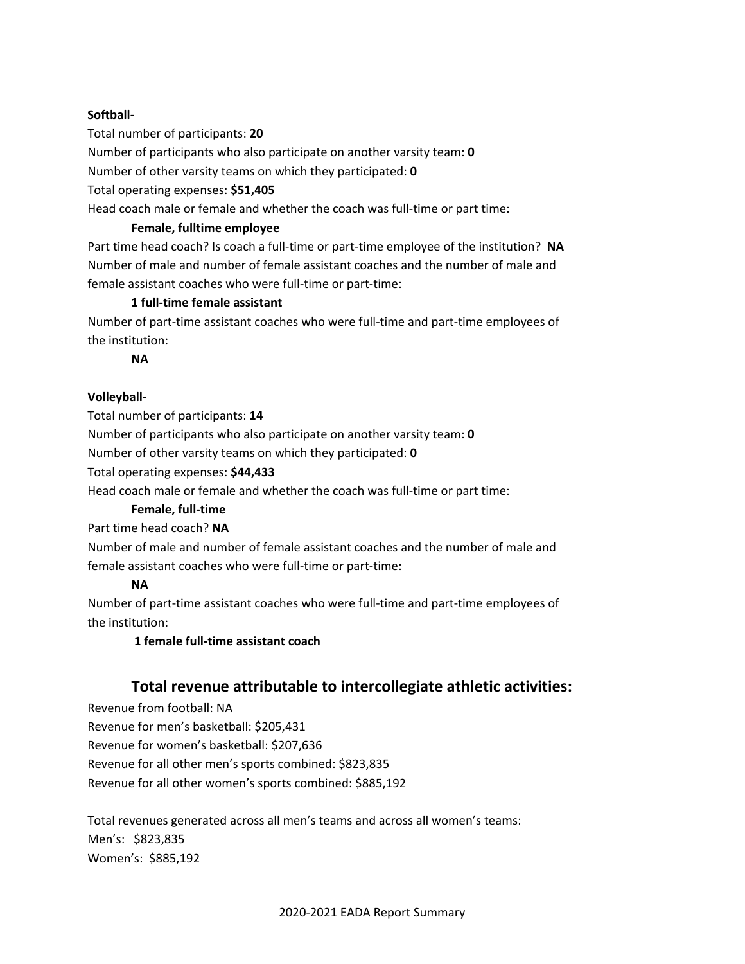#### **Softball-**

Total number of participants: **20**

Number of participants who also participate on another varsity team: **0**

Number of other varsity teams on which they participated: **0**

Total operating expenses: **\$51,405**

Head coach male or female and whether the coach was full-time or part time:

#### **Female, fulltime employee**

Part time head coach? Is coach a full-time or part-time employee of the institution? **NA** Number of male and number of female assistant coaches and the number of male and female assistant coaches who were full-time or part-time:

#### **1 full-time female assistant**

Number of part-time assistant coaches who were full-time and part-time employees of the institution:

**NA**

#### **Volleyball-**

Total number of participants: **14**

Number of participants who also participate on another varsity team: **0**

Number of other varsity teams on which they participated: **0**

Total operating expenses: **\$44,433**

Head coach male or female and whether the coach was full-time or part time:

#### **Female, full-time**

Part time head coach? **NA**

Number of male and number of female assistant coaches and the number of male and female assistant coaches who were full-time or part-time:

#### **NA**

Number of part-time assistant coaches who were full-time and part-time employees of the institution:

**1 female full-time assistant coach**

# **Total revenue attributable to intercollegiate athletic activities:**

Revenue from football: NA Revenue for men's basketball: \$205,431 Revenue for women's basketball: \$207,636 Revenue for all other men's sports combined: \$823,835 Revenue for all other women's sports combined: \$885,192

Total revenues generated across all men's teams and across all women's teams: Men's: \$823,835 Women's: \$885,192